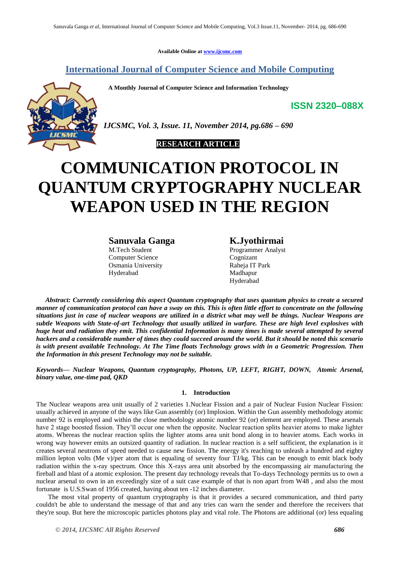**Available Online at www.ijcsmc.com**

## **International Journal of Computer Science and Mobile Computing**

 **A Monthly Journal of Computer Science and Information Technology**



*IJCSMC, Vol. 3, Issue. 11, November 2014, pg.686 – 690*



# **COMMUNICATION PROTOCOL IN QUANTUM CRYPTOGRAPHY NUCLEAR WEAPON USED IN THE REGION**

**Sanuvala Ganga K.Jyothirmai**

Computer Science Cognizant Osmania University Raheja IT Park Hyderabad Madhapur

M.Tech Student Programmer Analyst Hyderabad

*Abstract: Currently considering this aspect Quantum cryptography that uses quantum physics to create a secured manner of communication protocol can have a sway on this. This is often little effort to concentrate on the following situations just in case of nuclear weapons are utilized in a district what may well be things. Nuclear Weapons are subtle Weapons with State-of-art Technology that usually utilized in warfare. These are high level explosives with huge heat and radiation they emit. This confidential Information is many times is made several attempted by several hackers and a considerable number of times they could succeed around the world. But it should be noted this scenario is with present available Technology. At The Time floats Technology grows with in a Geometric Progression. Then the Information in this present Technology may not be suitable.*

*Keywords— Nuclear Weapons, Quantum cryptography, Photons, UP, LEFT, RIGHT, DOWN, Atomic Arsenal, binary value, one-time pad, QKD*

### **1. Introduction**

The Nuclear weapons area unit usually of 2 varieties 1.Nuclear Fission and a pair of Nuclear Fusion Nuclear Fission: usually achieved in anyone of the ways like Gun assembly (or) Implosion. Within the Gun assembly methodology atomic number 92 is employed and within the close methodology atomic number 92 (or) element are employed. These arsenals have 2 stage boosted fission. They'll occur one when the opposite. Nuclear reaction splits heavier atoms to make lighter atoms. Whereas the nuclear reaction splits the lighter atoms area unit bond along in to heavier atoms. Each works in wrong way however emits an outsized quantity of radiation. In nuclear reaction is a self sufficient, the explanation is it creates several neutrons of speed needed to cause new fission. The energy it's reaching to unleash a hundred and eighty million lepton volts (Me v)/per atom that is equaling of seventy four TJ/kg. This can be enough to emit black body radiation within the x-ray spectrum. Once this X-rays area unit absorbed by the encompassing air manufacturing the fireball and blast of a atomic explosion. The present day technology reveals that To-days Technology permits us to own a nuclear arsenal to own in an exceedingly size of a suit case example of that is non apart from W48 , and also the most fortunate is U.S.Swan of 1956 created, having about ten -12 inches diameter.

 The most vital property of quantum cryptography is that it provides a secured communication, and third party couldn't be able to understand the message of that and any tries can warn the sender and therefore the receivers that they're soup. But here the microscopic particles photons play and vital role. The Photons are additional (or) less equaling

**ISSN 2320–088X**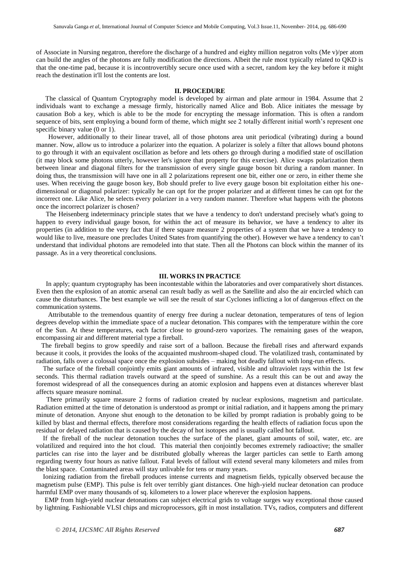of Associate in Nursing negatron, therefore the discharge of a hundred and eighty million negatron volts (Me v)/per atom can build the angles of the photons are fully modification the directions. Albeit the rule most typically related to QKD is that the one-time pad, because it is incontrovertibly secure once used with a secret, random key the key before it might reach the destination it'll lost the contents are lost.

#### **II. PROCEDURE**

The classical of Quantum Cryptography model is developed by airman and plate armour in 1984. Assume that 2 individuals want to exchange a message firmly, historically named Alice and Bob. Alice initiates the message by causation Bob a key, which is able to be the mode for encrypting the message information. This is often a random sequence of bits, sent employing a bound form of theme, which might see 2 totally different initial worth's represent one specific binary value (0 or 1).

However, additionally to their linear travel, all of those photons area unit periodical (vibrating) during a bound manner. Now, allow us to introduce a polarizer into the equation. A polarizer is solely a filter that allows bound photons to go through it with an equivalent oscillation as before and lets others go through during a modified state of oscillation (it may block some photons utterly, however let's ignore that property for this exercise). Alice swaps polarization them between linear and diagonal filters for the transmission of every single gauge boson bit during a random manner. In doing thus, the transmission will have one in all 2 polarizations represent one bit, either one or zero, in either theme she uses. When receiving the gauge boson key, Bob should prefer to live every gauge boson bit exploitation either his onedimensional or diagonal polarizer: typically he can opt for the proper polarizer and at different times he can opt for the incorrect one. Like Alice, he selects every polarizer in a very random manner. Therefore what happens with the photons once the incorrect polarizer is chosen?

The Heisenberg indeterminacy principle states that we have a tendency to don't understand precisely what's going to happen to every individual gauge boson, for within the act of measure its behavior, we have a tendency to alter its properties (in addition to the very fact that if there square measure 2 properties of a system that we have a tendency to would like to live, measure one precludes United States from quantifying the other). However we have a tendency to can't understand that individual photons are remodeled into that state. Then all the Photons can block within the manner of its passage. As in a very theoretical conclusions.

#### **III. WORKS IN PRACTICE**

In apply; quantum cryptography has been incontestable within the laboratories and over comparatively short distances. Even then the explosion of an atomic arsenal can result badly as well as the Satellite and also the air encircled which can cause the disturbances. The best example we will see the result of star Cyclones inflicting a lot of dangerous effect on the communication systems.

 Attributable to the tremendous quantity of energy free during a nuclear detonation, temperatures of tens of legion degrees develop within the immediate space of a nuclear detonation. This compares with the temperature within the core of the Sun. At these temperatures, each factor close to ground-zero vaporizes. The remaining gases of the weapon, encompassing air and different material type a fireball.

 The fireball begins to grow speedily and raise sort of a balloon. Because the fireball rises and afterward expands because it cools, it provides the looks of the acquainted mushroom-shaped cloud. The volatilized trash, contaminated by radiation, falls over a colossal space once the explosion subsides – making hot deadly fallout with long-run effects.

 The surface of the fireball conjointly emits giant amounts of infrared, visible and ultraviolet rays within the 1st few seconds. This thermal radiation travels outward at the speed of sunshine. As a result this can be out and away the foremost widespread of all the consequences during an atomic explosion and happens even at distances wherever blast affects square measure nominal.

 There primarily square measure 2 forms of radiation created by nuclear explosions, magnetism and particulate. Radiation emitted at the time of detonation is understood as prompt or initial radiation, and it happens among the primary minute of detonation. Anyone shut enough to the detonation to be killed by prompt radiation is probably going to be killed by blast and thermal effects, therefore most considerations regarding the health effects of radiation focus upon the residual or delayed radiation that is caused by the decay of hot isotopes and is usually called hot fallout.

 If the fireball of the nuclear detonation touches the surface of the planet, giant amounts of soil, water, etc. are volatilized and required into the hot cloud. This material then conjointly becomes extremely radioactive; the smaller particles can rise into the layer and be distributed globally whereas the larger particles can settle to Earth among regarding twenty four hours as native fallout. Fatal levels of fallout will extend several many kilometers and miles from the blast space. Contaminated areas will stay unlivable for tens or many years.

 Ionizing radiation from the fireball produces intense currents and magnetism fields, typically observed because the magnetism pulse (EMP). This pulse is felt over terribly giant distances. One high-yield nuclear detonation can produce harmful EMP over many thousands of sq. kilometers to a lower place wherever the explosion happens.

 EMP from high-yield nuclear detonations can subject electrical grids to voltage surges way exceptional those caused by lightning. Fashionable VLSI chips and microprocessors, gift in most installation. TVs, radios, computers and different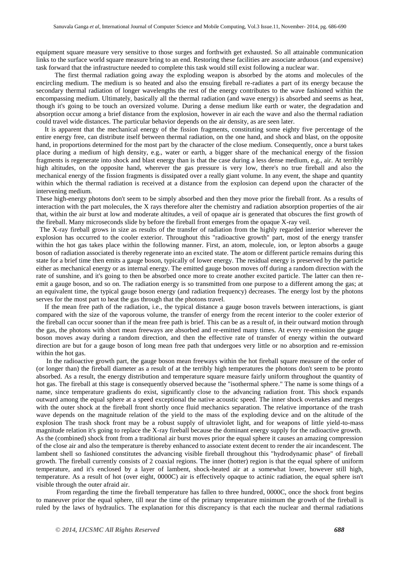equipment square measure very sensitive to those surges and forthwith get exhausted. So all attainable communication links to the surface world square measure bring to an end. Restoring these facilities are associate arduous (and expensive) task forward that the infrastructure needed to complete this task would still exist following a nuclear war.

 The first thermal radiation going away the exploding weapon is absorbed by the atoms and molecules of the encircling medium. The medium is so heated and also the ensuing fireball re-radiates a part of its energy because the secondary thermal radiation of longer wavelengths the rest of the energy contributes to the wave fashioned within the encompassing medium. Ultimately, basically all the thermal radiation (and wave energy) is absorbed and seems as heat, though it's going to be touch an oversized volume. During a dense medium like earth or water, the degradation and absorption occur among a brief distance from the explosion, however in air each the wave and also the thermal radiation could travel wide distances. The particular behavior depends on the air density, as are seen later.

 It is apparent that the mechanical energy of the fission fragments, constituting some eighty five percentage of the entire energy free, can distribute itself between thermal radiation, on the one hand, and shock and blast, on the opposite hand, in proportions determined for the most part by the character of the close medium. Consequently, once a burst takes place during a medium of high density, e.g., water or earth, a bigger share of the mechanical energy of the fission fragments is regenerate into shock and blast energy than is that the case during a less dense medium, e.g., air. At terribly high altitudes, on the opposite hand, wherever the gas pressure is very low, there's no true fireball and also the mechanical energy of the fission fragments is dissipated over a really giant volume. In any event, the shape and quantity within which the thermal radiation is received at a distance from the explosion can depend upon the character of the intervening medium.

These high-energy photons don't seem to be simply absorbed and then they move prior the fireball front. As a results of interaction with the part molecules, the X rays therefore alter the chemistry and radiation absorption properties of the air that, within the air burst at low and moderate altitudes, a veil of opaque air is generated that obscures the first growth of the fireball. Many microseconds slide by before the fireball front emerges from the opaque X-ray veil.

 The X-ray fireball grows in size as results of the transfer of radiation from the highly regarded interior wherever the explosion has occurred to the cooler exterior. Throughout this "radioactive growth" part, most of the energy transfer within the hot gas takes place within the following manner. First, an atom, molecule, ion, or lepton absorbs a gauge boson of radiation associated is thereby regenerate into an excited state. The atom or different particle remains during this state for a brief time then emits a gauge boson, typically of lower energy. The residual energy is preserved by the particle either as mechanical energy or as internal energy. The emitted gauge boson moves off during a random direction with the rate of sunshine, and it's going to then be absorbed once more to create another excited particle. The latter can then reemit a gauge boson, and so on. The radiation energy is so transmitted from one purpose to a different among the gas; at an equivalent time, the typical gauge boson energy (and radiation frequency) decreases. The energy lost by the photons serves for the most part to heat the gas through that the photons travel.

 If the mean free path of the radiation, i.e., the typical distance a gauge boson travels between interactions, is giant compared with the size of the vaporous volume, the transfer of energy from the recent interior to the cooler exterior of the fireball can occur sooner than if the mean free path is brief. This can be as a result of, in their outward motion through the gas, the photons with short mean freeways are absorbed and re-emitted many times. At every re-emission the gauge boson moves away during a random direction, and then the effective rate of transfer of energy within the outward direction are but for a gauge boson of long mean free path that undergoes very little or no absorption and re-emission within the hot gas.

 In the radioactive growth part, the gauge boson mean freeways within the hot fireball square measure of the order of (or longer than) the fireball diameter as a result of at the terribly high temperatures the photons don't seem to be pronto absorbed. As a result, the energy distribution and temperature square measure fairly uniform throughout the quantity of hot gas. The fireball at this stage is consequently observed because the "isothermal sphere." The name is some things of a name, since temperature gradients do exist, significantly close to the advancing radiation front. This shock expands outward among the equal sphere at a speed exceptional the native acoustic speed. The inner shock overtakes and merges with the outer shock at the fireball front shortly once fluid mechanics separation. The relative importance of the trash wave depends on the magnitude relation of the yield to the mass of the exploding device and on the altitude of the explosion The trash shock front may be a robust supply of ultraviolet light, and for weapons of little yield-to-mass magnitude relation it's going to replace the X-ray fireball because the dominant energy supply for the radioactive growth. As the (combined) shock front from a traditional air burst moves prior the equal sphere it causes an amazing compression of the close air and also the temperature is thereby enhanced to associate extent decent to render the air incandescent. The lambent shell so fashioned constitutes the advancing visible fireball throughout this "hydrodynamic phase" of fireball growth. The fireball currently consists of 2 coaxial regions. The inner (hotter) region is that the equal sphere of uniform temperature, and it's enclosed by a layer of lambent, shock-heated air at a somewhat lower, however still high, temperature. As a result of hot (over eight, 0000C) air is effectively opaque to actinic radiation, the equal sphere isn't visible through the outer afraid air.

 From regarding the time the fireball temperature has fallen to three hundred, 0000C, once the shock front begins to maneuver prior the equal sphere, till near the time of the primary temperature minimum the growth of the fireball is ruled by the laws of hydraulics. The explanation for this discrepancy is that each the nuclear and thermal radiations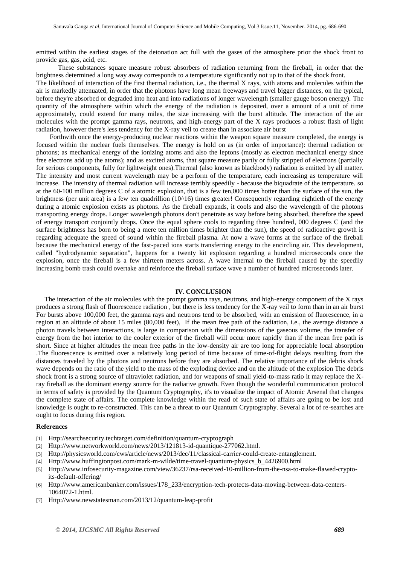emitted within the earliest stages of the detonation act full with the gases of the atmosphere prior the shock front to provide gas, gas, acid, etc.

 These substances square measure robust absorbers of radiation returning from the fireball, in order that the brightness determined a long way away corresponds to a temperature significantly not up to that of the shock front.

The likelihood of interaction of the first thermal radiation, i.e., the thermal X rays, with atoms and molecules within the air is markedly attenuated, in order that the photons have long mean freeways and travel bigger distances, on the typical, before they're absorbed or degraded into heat and into radiations of longer wavelength (smaller gauge boson energy). The quantity of the atmosphere within which the energy of the radiation is deposited, over a amount of a unit of time approximately, could extend for many miles, the size increasing with the burst altitude. The interaction of the air molecules with the prompt gamma rays, neutrons, and high-energy part of the X rays produces a robust flash of light radiation, however there's less tendency for the X-ray veil to create than in associate air burst

 Forthwith once the energy-producing nuclear reactions within the weapon square measure completed, the energy is focused within the nuclear fuels themselves. The energy is hold on as (in order of importance): thermal radiation or photons; as mechanical energy of the ionizing atoms and also the leptons (mostly as electron mechanical energy since free electrons add up the atoms); and as excited atoms, that square measure partly or fully stripped of electrons (partially for serious components, fully for lightweight ones).Thermal (also known as blackbody) radiation is emitted by all matter. The intensity and most current wavelength may be a perform of the temperature, each increasing as temperature will increase. The intensity of thermal radiation will increase terribly speedily - because the biquadrate of the temperature. so at the 60-100 million degrees C of a atomic explosion, that is a few ten,000 times hotter than the surface of the sun, the brightness (per unit area) is a few ten quadrillion  $(10<sup>16</sup>)$  times greater! Consequently regarding eightieth of the energy during a atomic explosion exists as photons. As the fireball expands, it cools and also the wavelength of the photons transporting energy drops. Longer wavelength photons don't penetrate as way before being absorbed, therefore the speed of energy transport conjointly drops. Once the equal sphere cools to regarding three hundred, 000 degrees C (and the surface brightness has born to being a mere ten million times brighter than the sun), the speed of radioactive growth is regarding adequate the speed of sound within the fireball plasma. At now a wave forms at the surface of the fireball because the mechanical energy of the fast-paced ions starts transferring energy to the encircling air. This development, called "hydrodynamic separation", happens for a twenty kit explosion regarding a hundred microseconds once the explosion, once the fireball is a few thirteen meters across. A wave internal to the fireball caused by the speedily increasing bomb trash could overtake and reinforce the fireball surface wave a number of hundred microseconds later.

#### **IV. CONCLUSION**

 The interaction of the air molecules with the prompt gamma rays, neutrons, and high-energy component of the X rays produces a strong flash of fluorescence radiation , but there is less tendency for the X-ray veil to form than in an air burst For bursts above 100,000 feet, the gamma rays and neutrons tend to be absorbed, with an emission of fluorescence, in a region at an altitude of about 15 miles (80,000 feet), If the mean free path of the radiation, i.e., the average distance a photon travels between interactions, is large in comparison with the dimensions of the gaseous volume, the transfer of energy from the hot interior to the cooler exterior of the fireball will occur more rapidly than if the mean free path is short. Since at higher altitudes the mean free paths in the low-density air are too long for appreciable local absorption .The fluorescence is emitted over a relatively long period of time because of time-of-flight delays resulting from the distances traveled by the photons and neutrons before they are absorbed. The relative importance of the debris shock wave depends on the ratio of the yield to the mass of the exploding device and on the altitude of the explosion The debris shock front is a strong source of ultraviolet radiation, and for weapons of small yield-to-mass ratio it may replace the Xray fireball as the dominant energy source for the radiative growth. Even though the wonderful communication protocol in terms of safety is provided by the Quantum Cryptography, it's to visualize the impact of Atomic Arsenal that changes the complete state of affairs. The complete knowledge within the read of such state of affairs are going to be lost and knowledge is ought to re-constructed. This can be a threat to our Quantum Cryptography. Several a lot of re-searches are ought to focus during this region.

#### **References**

- [1] [Http://searchsecurity.techtarget.com/definition/quantum-cryptograph](http://searchsecurity.techtarget.com/definition/quantum-cryptograph)
- [2] Http://www.networkworld.com/news/2013/121813-id-quantique-277062.html.
- [3] Http://physicsworld.com/cws/article/news/2013/dec/11/classical-carrier-could-create-entanglement.
- [4] Http://www.huffingtonpost.com/mark-m-wilde/time-travel-quantum-physics\_b\_4426900.html
- [5] Http://www.infosecurity-magazine.com/view/36237/rsa-received-10-million-from-the-nsa-to-make-flawed-cryptoits-default-offering/
- [6] Http://www.americanbanker.com/issues/178\_233/encryption-tech-protects-data-moving-between-data-centers-1064072-1.html.
- [7] Http://www.newstatesman.com/2013/12/quantum-leap-profit